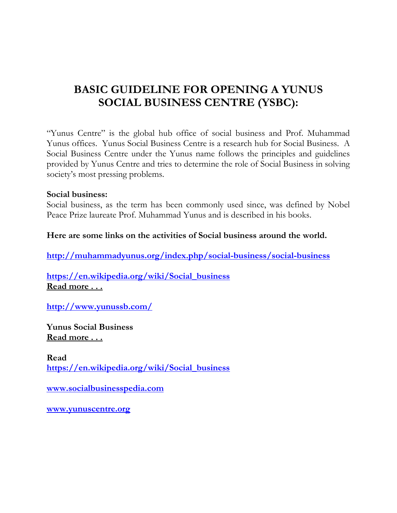# **BASIC GUIDELINE FOR OPENING A YUNUS SOCIAL BUSINESS CENTRE (YSBC):**

"Yunus Centre" is the global hub office of social business and Prof. Muhammad Yunus offices. Yunus Social Business Centre is a research hub for Social Business. A Social Business Centre under the Yunus name follows the principles and guidelines provided by Yunus Centre and tries to determine the role of Social Business in solving society's most pressing problems.

#### **Social business:**

Social business, as the term has been commonly used since, was defined by Nobel Peace Prize laureate Prof. Muhammad Yunus and is described in his books.

#### **Here are some links on the activities of Social business around the world.**

**<http://muhammadyunus.org/index.php/social-business/social-business>**

**[https://en.wikipedia.org/wiki/Social\\_business](https://en.wikipedia.org/wiki/Social_business) Read more . . .**

**<http://www.yunussb.com/>**

**Yunus Social Business Read more . . .**

**Read [https://en.wikipedia.org/wiki/Social\\_business](https://en.wikipedia.org/wiki/Social_business)**

**[www.socialbusinesspedia.com](http://www.socialbusinesspedia.com/)**

**[www.yunuscentre.org](http://www.yunuscentre.org/)**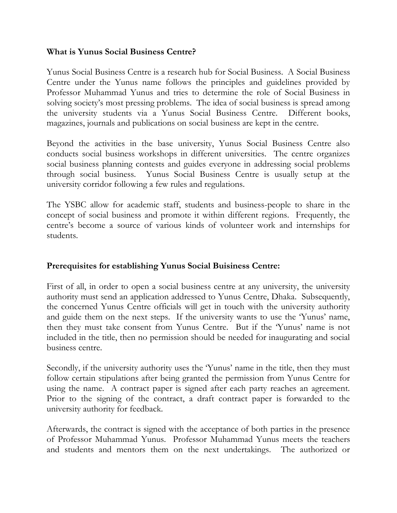### **What is Yunus Social Business Centre?**

Yunus Social Business Centre is a research hub for Social Business. A Social Business Centre under the Yunus name follows the principles and guidelines provided by Professor Muhammad Yunus and tries to determine the role of Social Business in solving society's most pressing problems. The idea of social business is spread among the university students via a Yunus Social Business Centre. Different books, magazines, journals and publications on social business are kept in the centre.

Beyond the activities in the base university, Yunus Social Business Centre also conducts social business workshops in different universities. The centre organizes social business planning contests and guides everyone in addressing social problems through social business. Yunus Social Business Centre is usually setup at the university corridor following a few rules and regulations.

The YSBC allow for academic staff, students and business-people to share in the concept of social business and promote it within different regions. Frequently, the centre's become a source of various kinds of volunteer work and internships for students.

## **Prerequisites for establishing Yunus Social Buisiness Centre:**

First of all, in order to open a social business centre at any university, the university authority must send an application addressed to Yunus Centre, Dhaka. Subsequently, the concerned Yunus Centre officials will get in touch with the university authority and guide them on the next steps. If the university wants to use the 'Yunus' name, then they must take consent from Yunus Centre. But if the 'Yunus' name is not included in the title, then no permission should be needed for inaugurating and social business centre.

Secondly, if the university authority uses the 'Yunus' name in the title, then they must follow certain stipulations after being granted the permission from Yunus Centre for using the name. A contract paper is signed after each party reaches an agreement. Prior to the signing of the contract, a draft contract paper is forwarded to the university authority for feedback.

Afterwards, the contract is signed with the acceptance of both parties in the presence of Professor Muhammad Yunus. Professor Muhammad Yunus meets the teachers and students and mentors them on the next undertakings. The authorized or